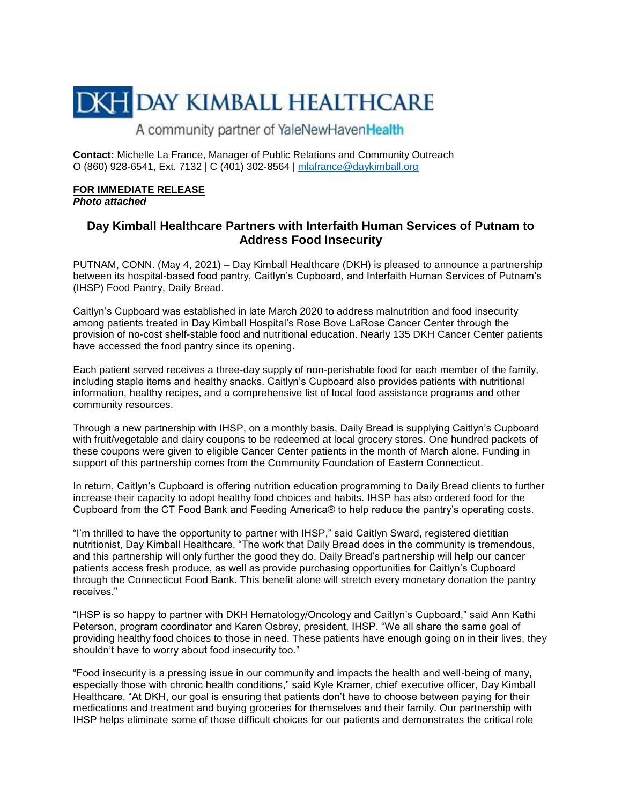## **DKH DAY KIMBALL HEALTHCARE**

A community partner of YaleNewHavenHealth

**Contact:** Michelle La France, Manager of Public Relations and Community Outreach O (860) 928-6541, Ext. 7132 | C (401) 302-8564 | [mlafrance@daykimball.org](mailto:mlafrance@daykimball.org)

## **FOR IMMEDIATE RELEASE**

*Photo attached*

## **Day Kimball Healthcare Partners with Interfaith Human Services of Putnam to Address Food Insecurity**

PUTNAM, CONN. (May 4, 2021) – Day Kimball Healthcare (DKH) is pleased to announce a partnership between its hospital-based food pantry, Caitlyn's Cupboard, and Interfaith Human Services of Putnam's (IHSP) Food Pantry, Daily Bread.

Caitlyn's Cupboard was established in late March 2020 to address malnutrition and food insecurity among patients treated in Day Kimball Hospital's Rose Bove LaRose Cancer Center through the provision of no-cost shelf-stable food and nutritional education. Nearly 135 DKH Cancer Center patients have accessed the food pantry since its opening.

Each patient served receives a three-day supply of non-perishable food for each member of the family, including staple items and healthy snacks. Caitlyn's Cupboard also provides patients with nutritional information, healthy recipes, and a comprehensive list of local food assistance programs and other community resources.

Through a new partnership with IHSP, on a monthly basis, Daily Bread is supplying Caitlyn's Cupboard with fruit/vegetable and dairy coupons to be redeemed at local grocery stores. One hundred packets of these coupons were given to eligible Cancer Center patients in the month of March alone. Funding in support of this partnership comes from the Community Foundation of Eastern Connecticut.

In return, Caitlyn's Cupboard is offering nutrition education programming to Daily Bread clients to further increase their capacity to adopt healthy food choices and habits. IHSP has also ordered food for the Cupboard from the CT Food Bank and Feeding America® to help reduce the pantry's operating costs.

"I'm thrilled to have the opportunity to partner with IHSP," said Caitlyn Sward, registered dietitian nutritionist, Day Kimball Healthcare. "The work that Daily Bread does in the community is tremendous, and this partnership will only further the good they do. Daily Bread's partnership will help our cancer patients access fresh produce, as well as provide purchasing opportunities for Caitlyn's Cupboard through the Connecticut Food Bank. This benefit alone will stretch every monetary donation the pantry receives."

"IHSP is so happy to partner with DKH Hematology/Oncology and Caitlyn's Cupboard," said Ann Kathi Peterson, program coordinator and Karen Osbrey, president, IHSP. "We all share the same goal of providing healthy food choices to those in need. These patients have enough going on in their lives, they shouldn't have to worry about food insecurity too."

"Food insecurity is a pressing issue in our community and impacts the health and well-being of many, especially those with chronic health conditions," said Kyle Kramer, chief executive officer, Day Kimball Healthcare. "At DKH, our goal is ensuring that patients don't have to choose between paying for their medications and treatment and buying groceries for themselves and their family. Our partnership with IHSP helps eliminate some of those difficult choices for our patients and demonstrates the critical role